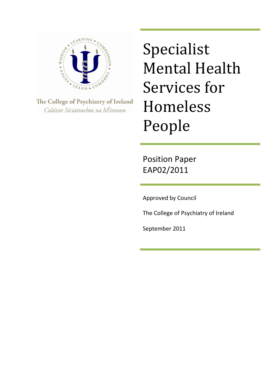

The College of Psychiatry of Ireland Coláiste Síciatrachta na hÉireann

Specialist Mental Health Services for Homeless People

Position Paper EAP02/2011

Approved by Council

The College of Psychiatry of Ireland

September 2011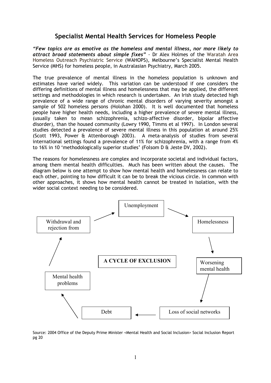## **Specialist Mental Health Services for Homeless People**

*"Few topics are as emotive as the homeless and mental illness, nor more likely to attract broad statements about simple fixes" -* Dr Alex Holmes of the Waratah Area Homeless Outreach Psychiatric Service (WAHOPS), Melbourne's Specialist Mental Health Service (MHS) for homeless people, in Australasian Psychiatry, March 2005.

The true prevalence of mental illness in the homeless population is unknown and estimates have varied widely. This variation can be understood if one considers the differing definitions of mental illness and homelessness that may be applied, the different settings and methodologies in which research is undertaken. An Irish study detected high prevalence of a wide range of chronic mental disorders of varying severity amongst a sample of 502 homeless persons (Holohan 2000). It is well documented that homeless people have higher health needs, including a higher prevalence of severe mental illness, (usually taken to mean schizophrenia, schizo-affective disorder, bipolar affective disorder), than the housed community (Lowry 1990, Timms et al 1997). In London several studies detected a prevalence of severe mental illness in this population at around 25% (Scott 1993, Power & Attenborough 2003). A meta-analysis of studies from several international settings found a prevalence of 11% for schizophrenia, with a range from 4% to 16% in 10 'methodologically superior studies' (Folsom D & Jeste DV, 2002).

The reasons for homelessness are complex and incorporate societal and individual factors, among them mental health difficulties. Much has been written about the causes. The diagram below is one attempt to show how mental health and homelessness can relate to each other, pointing to how difficult it can be to break the vicious circle. In common with other approaches, it shows how mental health cannot be treated in isolation, with the wider social context needing to be considered.



Source: 2004 Office of the Deputy Prime Minister <Mental Health and Social Inclusion> Social Inclusion Report pg 20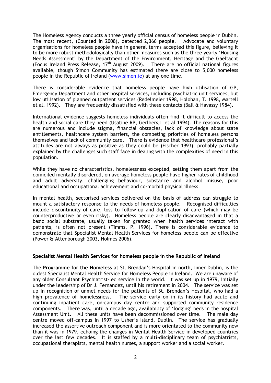The Homeless Agency conducts a three yearly official census of homeless people in Dublin. The most recent, (Counted in 2008), detected 2,366 people. Advocate and voluntary organisations for homeless people have in general terms accepted this figure, believing it to be more robust methodologically than other measures such as the three yearly 'Housing Needs Assessment' by the Department of the Environment, Heritage and the Gaeltacht (Focus Ireland Press Release, 17th August 2009). There are no official national figures available, though Simon Community has estimated there are close to 5,000 homeless people in the Republic of Ireland (www.simon.ie) at any one time.

There is considerable evidence that homeless people have high utilisation of GP, Emergency Department and other hospital services, including psychiatric unit services, but low utilisation of planned outpatient services (Redelmeier 1998, Holohan, T. 1998, Martell et al. 1992). They are frequently dissatisfied with these contacts (Ball & Havassy 1984).

International evidence suggests homeless individuals often find it difficult to access the health and social care they need (Usatine RP, Gerlberg L et al 1994). The reasons for this are numerous and include stigma, financial obstacles, lack of knowledge about state entitlements, healthcare system barriers, the competing priorities of homeless persons themselves and lack of community care. There is evidence that healthcare professional's attitudes are not always as positive as they could be (Fischer 1993), probably partially explained by the challenges such staff face in dealing with the complexities of need in this population.

While they have no characteristics, homelessness excepted, setting them apart from the domiciled mentally disordered, on average homeless people have higher rates of childhood and adult adversity, challenging behaviour, substance and alcohol misuse, poor educational and occupational achievement and co-morbid physical illness.

In mental health, sectorised services delivered on the basis of address can struggle to mount a satisfactory response to the needs of homeless people. Recognised difficulties include discontinuity of care, loss to follow-up and duplication of care (which may be counterproductive or even risky). Homeless people are clearly disadvantaged in that a basic social substrate, usually taken for granted when health services interact with patients, is often not present (Timms, P. 1996). There is considerable evidence to demonstrate that Specialist Mental Health Services for homeless people can be effective (Power & Attenborough 2003, Holmes 2006).

#### **Specialist Mental Health Services for homeless people in the Republic of Ireland**

The **Programme for the Homeless** at St. Brendan's Hospital in north, inner Dublin, is the oldest Specialist Mental Health Service for Homeless People in Ireland. We are unaware of any older Consultant Psychiatrist-led service in the world. It was set up in 1979, initially under the leadership of Dr J. Fernandez, until his retirement in 2004. The service was set up in recognition of unmet needs for the patients of St. Brendan's Hospital, who had a high prevalence of homelessness. The service early on in its history had acute and continuing inpatient care, on-campus day centre and supported community residence components. There was, until a decade ago, availability of 'lodging' beds in the hospital Assessment Unit. All these units have been decommissioned over time. The male day centre moved off-campus in 1997 to Usher's Island, Dublin. The service has gradually increased the assertive outreach component and is more orientated to the community now than it was in 1979, echoing the changes in Mental Health Service in developed countries over the last few decades. It is staffed by a multi-disciplinary team of psychiatrists, occupational therapists, mental health nurses, a support worker and a social worker.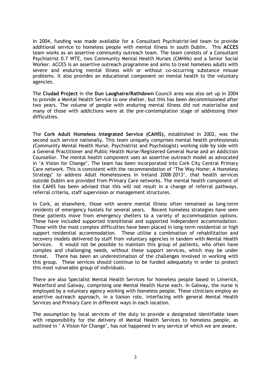In 2004, funding was made available for a Consultant Psychiatrist-led team to provide additional service to homeless people with mental illness in south Dublin. This **ACCES**  team works as an assertive community outreach team. The team consists of a Consultant Psychiatrist 0.7 WTE, two Community Mental Health Nurses (CMHNs) and a Senior Social Worker. ACCES is an assertive outreach programme and aims to treat homeless adults with severe and enduring mental illness with or without co-occurring substance misuse problems. It also provides an educational component on mental health to the voluntary agencies.

The **Ciudad Project** in the **Dun Laoghaire/Rathdown** Council area was also set up in 2004 to provide a Mental Health Service to one shelter, but this has been decommissioned after two years. The volume of people with enduring mental illness did not materialise and many of those with addictions were at the pre-contemplation stage of addressing their difficulties.

The **Cork Adult Homeless Integrated Service (CAHIS),** established in 2002, was the second such service nationally. This team uniquely comprises mental health professionals (Community Mental Health Nurse, Psychiatrist and Psychologist) working side by side with a General Practitioner and Public Health Nurse/Registered General Nurse and an Addiction Counsellor. The mental health component uses an assertive outreach model as advocated in 'A Vision for Change'. The team has been incorporated into Cork City Central Primary Care network. This is consistent with the recommendation of 'The Way Home: A Homeless Strategy' to address Adult Homelessness in Ireland 2008-2013', that health services outside Dublin are provided from Primary Care networks. The mental health component of the CAHIS has been advised that this will not result in a change of referral pathways, referral criteria, staff supervision or management structures.

In Cork, as elsewhere, those with severe mental illness often remained as long-term residents of emergency hostels for several years. Recent homeless strategies have seen these patients move from emergency shelters to a variety of accommodation options. These have included supported transitional and supported independent accommodation. Those with the most complex difficulties have been placed in long-term residential or high support residential accommodation. These utilise a combination of rehabilitation and recovery models delivered by staff from voluntary agencies in tandem with Mental Health Services. It would not be possible to maintain this group of patients, who often have complex and challenging needs, without these support services, which may be under threat. There has been an underestimation of the challenges involved in working with this group. These services should continue to be funded adequately in order to protect this most vulnerable group of individuals.

There are also Specialist Mental Health Services for homeless people based in Limerick, Waterford and Galway, comprising one Mental Health Nurse each. In Galway, the nurse is employed by a voluntary agency working with homeless people. These clinicians employ an assertive outreach approach, in a liaison role, interfacing with general Mental Health Services and Primary Care in different ways in each location.

The assumption by local services of the duty to provide a designated identifiable team with responsibility for the delivery of Mental Health Services to homeless people, as outlined in ' A Vision for Change', has not happened in any service of which we are aware.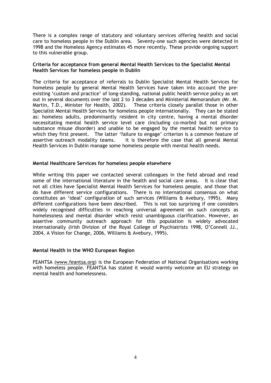There is a complex range of statutory and voluntary services offering health and social care to homeless people in the Dublin area. Seventy-one such agencies were detected in 1998 and the Homeless Agency estimates 45 more recently. These provide ongoing support to this vulnerable group.

#### **Criteria for acceptance from general Mental Health Services to the Specialist Mental Health Services for homeless people in Dublin**

The criteria for acceptance of referrals to Dublin Specialist Mental Health Services for homeless people by general Mental Health Services have taken into account the preexisting 'custom and practice' of long-standing, national public health service policy as set out in several documents over the last 2 to 3 decades and Ministerial Memorandum (Mr. M. Martin, T.D., Minister for Health, 2002). These criteria closely parallel those in other Specialist Mental Health Services for homeless people internationally. They can be stated as: homeless adults, predominantly resident in city centre, having a mental disorder necessitating mental health service level care (including co-morbid but not primary substance misuse disorder) and unable to be engaged by the mental health service to which they first present. The latter 'failure to engage' criterion is a common feature of assertive outreach modality teams. It is therefore the case that all general Mental Health Services in Dublin manage some homeless people with mental health needs.

#### **Mental Healthcare Services for homeless people elsewhere**

While writing this paper we contacted several colleagues in the field abroad and read some of the international literature in the health and social care areas. It is clear that not all cities have Specialist Mental Health Services for homeless people, and those that do have different service configurations. There is no international consensus on what constitutes an 'ideal' configuration of such services (Williams & Avebury, 1995). Many different configurations have been described. This is not too surprising if one considers widely recognised difficulties in reaching universal agreement on such concepts as homelessness and mental disorder which resist unambiguous clarification. However, an assertive community outreach approach for this population is widely advocated internationally (Irish Division of the Royal College of Psychiatrists 1998, O'Connell JJ., 2004, A Vision for Change, 2006, Williams & Avebury, 1995).

#### **Mental Health in the WHO European Region**

FEANTSA (www.feantsa.org) is the European Federation of National Organisations working with homeless people. FEANTSA has stated it would warmly welcome an EU strategy on mental health and homelessness.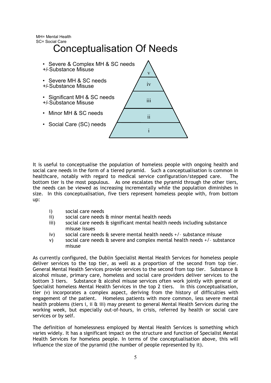MH= Mental Health SC= Social Care

# Conceptualisation Of Needs



It is useful to conceptualise the population of homeless people with ongoing health and social care needs in the form of a tiered pyramid. Such a conceptualisation is common in healthcare, notably with regard to medical service configuration/stepped care. The bottom tier is the most populous. As one escalates the pyramid through the other tiers, the needs can be viewed as increasing incrementally while the population diminishes in size. In this conceptualisation, five tiers represent homeless people with, from bottom up:

- i) social care needs
- ii) social care needs & minor mental health needs
- iii) social care needs & significant mental health needs including substance misuse issues
- iv) social care needs & severe mental health needs +/– substance misuse
- v) social care needs & severe and complex mental health needs +/– substance misuse

As currently configured, the Dublin Specialist Mental Health Services for homeless people deliver services to the top tier, as well as a proportion of the second from top tier. General Mental Health Services provide services to the second from top tier. Substance & alcohol misuse, primary care, homeless and social care providers deliver services to the bottom 3 tiers. Substance & alcohol misuse services often work jointly with general or Specialist homeless Mental Health Services in the top 2 tiers. In this conceptualisation, tier (v) incorporates a complex aspect, deriving from the history of difficulties with engagement of the patient. Homeless patients with more common, less severe mental health problems (tiers i, ii  $\hat{a}$  iii) may present to general Mental Health Services during the working week, but especially out-of-hours, in crisis, referred by health or social care services or by self.

The definition of homelessness employed by Mental Health Services is something which varies widely. It has a significant impact on the structure and function of Specialist Mental Health Services for homeless people. In terms of the conceptualisation above, this will influence the size of the pyramid (the number of people represented by it).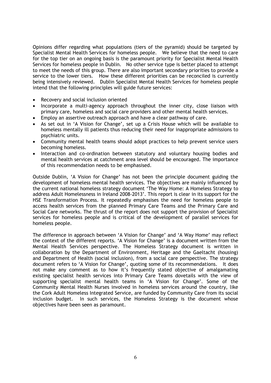Opinions differ regarding what populations (tiers of the pyramid) should be targeted by Specialist Mental Health Services for homeless people. We believe that the need to care for the top tier on an ongoing basis is the paramount priority for Specialist Mental Health Services for homeless people in Dublin.No other service type is better placed to attempt to meet the needs of this group. There are also important secondary priorities to provide a service to the lower tiers. How these different priorities can be reconciled is currently being intensively reviewed. Dublin Specialist Mental Health Services for homeless people intend that the following principles will guide future services:

- Recovery and social inclusion oriented
- Incorporate a multi-agency approach throughout the inner city, close liaison with primary care, homeless and social care providers and other mental health services.
- Employ an assertive outreach approach and have a clear pathway of care.
- As set out in 'A Vision for Change', set up a Crisis House which will be available to homeless mentally ill patients thus reducing their need for inappropriate admissions to psychiatric units.
- Community mental health teams should adopt practices to help prevent service users becoming homeless.
- Interaction and co-ordination between statutory and voluntary housing bodies and mental health services at catchment area level should be encouraged. The importance of this recommendation needs to be emphasised.

Outside Dublin, 'A Vision for Change' has not been the principle document guiding the development of homeless mental health services. The objectives are mainly influenced by the current national homeless strategy document 'The Way Home: A Homeless Strategy to address Adult Homelessness in Ireland 2008-2013'. This report is clear in its support for the HSE Transformation Process. It repeatedly emphasises the need for homeless people to access health services from the planned Primary Care Teams and the Primary Care and Social Care networks. The thrust of the report does not support the provision of Specialist services for homeless people and is critical of the development of parallel services for homeless people.

The difference in approach between 'A Vision for Change' and 'A Way Home' may reflect the context of the different reports. 'A Vision for Change' is a document written from the Mental Health Services perspective. The Homeless Strategy document is written in collaboration by the Department of Environment, Heritage and the Gaeltacht (housing) and Department of Health (social inclusion), from a social care perspective. The strategy document refers to 'A Vision for Change', quoting some of its recommendations. It does not make any comment as to how it's frequently stated objective of amalgamating existing specialist health services into Primary Care Teams dovetails with the view of supporting specialist mental health teams in 'A Vision for Change'. Some of the Community Mental Health Nurses involved in homeless services around the country, like the Cork Adult Homeless Integrated Service, are funded by Community Care from its social inclusion budget. In such services, the Homeless Strategy is the document whose objectives have been seen as paramount.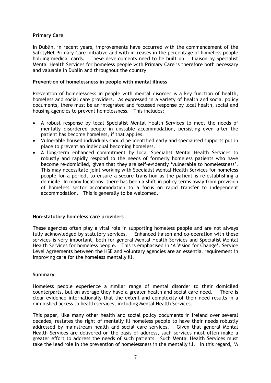#### **Primary Care**

In Dublin, in recent years, improvements have occurred with the commencement of the SafetyNet Primary Care Initiative and with increases in the percentage of homeless people holding medical cards. These developments need to be built on. Liaison by Specialist Mental Health Services for homeless people with Primary Care is therefore both necessary and valuable in Dublin and throughout the country.

#### **Prevention of homelessness in people with mental illness**

Prevention of homelessness in people with mental disorder is a key function of health, homeless and social care providers. As expressed in a variety of health and social policy documents, there must be an integrated and focussed response by local health, social and housing agencies to prevent homelessness. This includes:

- A robust response by local Specialist Mental Health Services to meet the needs of mentally disordered people in unstable accommodation, persisting even after the patient has become homeless, if that applies.
- Vulnerable housed individuals should be identified early and specialised supports put in place to prevent an individual becoming homeless.
- A long-term enhanced commitment by local Specialist Mental Health Services to robustly and rapidly respond to the needs of formerly homeless patients who have become re-domiciled, given that they are self-evidently 'vulnerable to homelessness'. This may necessitate joint working with Specialist Mental Health Services for homeless people for a period, to ensure a secure transition as the patient is re-establishing a domicile. In many locations, there has been a shift in policy terms away from provision of homeless sector accommodation to a focus on rapid transfer to independent accommodation. This is generally to be welcomed.

#### **Non-statutory homeless care providers**

These agencies often play a vital role in supporting homeless people and are not always fully acknowledged by statutory services. Enhanced liaison and co-operation with these services is very important, both for general Mental Health Services and Specialist Mental Health Services for homeless people. This is emphasised in 'A Vision for Change'. Service Level Agreements between the HSE and voluntary agencies are an essential requirement in improving care for the homeless mentally ill.

### **Summary**

Homeless people experience a similar range of mental disorder to their domiciled counterparts, but on average they have a greater health and social care need. There is clear evidence internationally that the extent and complexity of their need results in a diminished access to health services, including Mental Health Services.

This paper, like many other health and social policy documents in Ireland over several decades, restates the right of mentally ill homeless people to have their needs robustly addressed by mainstream health and social care services. Given that general Mental Health Services are delivered on the basis of address, such services must often make a greater effort to address the needs of such patients. Such Mental Health Services must take the lead role in the prevention of homelessness in the mentally ill. In this regard, 'A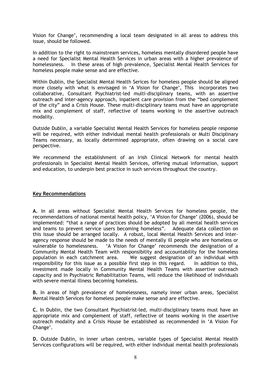Vision for Change', recommending a local team designated in all areas to address this issue, should be followed.

In addition to the right to mainstream services, homeless mentally disordered people have a need for Specialist Mental Health Services in urban areas with a higher prevalence of homelessness. In these areas of high prevalence, Specialist Mental Health Services for homeless people make sense and are effective.

Within Dublin, the Specialist Mental Health Serices for homeless people should be aligned more closely with what is envisaged in 'A Vision for Change', This incorporates two collaborative, Consultant Psychiatrist-led multi-disciplinary teams, with an assertive outreach and inter-agency approach, inpatient care provision from the "bed complement of the city" and a Crisis House. These multi-disciplinary teams must have an appropriate mix and complement of staff, reflective of teams working in the assertive outreach modality.

Outside Dublin, a variable Specialist Mental Health Services for homeless people response will be required, with either individual mental health professionals or Multi Disciplinary Teams necessary, as locally determined appropriate, often drawing on a social care perspective.

We recommend the establishment of an Irish Clinical Network for mental health professionals in Specialist Mental Health Services, offering mutual information, support and education, to underpin best practice in such services throughout the country.

#### **Key Recommendations**

**A.** In all areas without Specialist Mental Health Services for homeless people, the recommendations of national mental health policy, 'A Vision for Change' (2006), should be implemented: "that a range of practices should be adopted by all mental health services and teams to prevent service users becoming homeless". Adequate data collection on this issue should be arranged locally. A robust, local Mental Health Services and interagency response should be made to the needs of mentally ill people who are homeless or vulnerable to homelessness. 'A Vision for Change' recommends the designation of a Community Mental Health Team with responsibility and accountability for the homeless population in each catchment area. We suggest designation of an individual with responsibility for this issue as a possible first step in this regard. In addition to this, investment made locally in Community Mental Health Teams with assertive outreach capacity and in Psychiatric Rehabilitation Teams, will reduce the likelihood of individuals with severe mental illness becoming homeless.

**B.** In areas of high prevalence of homelessness, namely inner urban areas, Specialist Mental Health Services for homeless people make sense and are effective.

**C.** In Dublin, the two Consultant Psychiatrist-led, multi-disciplinary teams must have an appropriate mix and complement of staff, reflective of teams working in the assertive outreach modality and a Crisis House be established as recommended in 'A Vision For Change'.

**D.** Outside Dublin, in inner urban centres, variable types of Specialist Mental Health Services configurations will be required, with either individual mental health professionals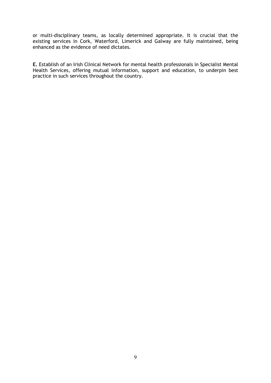or multi-disciplinary teams, as locally determined appropriate. It is crucial that the existing services in Cork, Waterford, Limerick and Galway are fully maintained, being enhanced as the evidence of need dictates.

**E.** Establish of an Irish Clinical Network for mental health professionals in Specialist Mental Health Services, offering mutual information, support and education, to underpin best practice in such services throughout the country.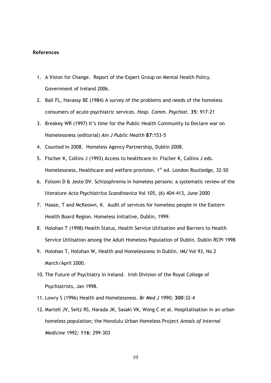#### **References**

- 1. A Vision for Change. Report of the Expert Group on Mental Health Policy. Government of Ireland 2006.
- 2. Ball FL, Havassy BE (1984) A survey of the problems and needs of the homeless consumers of acute psychiatric services. *Hosp. Comm. Psychiat*. **35**: 917-21
- 3. Breakey WR (1997) It's time for the Public Health Community to Declare war on Homelessness (editorial) *Am J Public Health* **87**:153-5
- 4. Counted In 2008. Homeless Agency Partnership, Dublin 2008.
- 5. Fischer K, Collins J (1993) Access to healthcare In: Fischer K, Collins J eds. Homelessness, Healthcare and welfare provision.  $1<sup>st</sup>$  ed. London Routledge, 32-50
- 6. Folsom D & Jeste DV. Schizophrenia in homeless persons: a systematic review of the literature *Acta Psychiatrica Scandinavica* Vol 105, (6) 404-413, June 2000
- 7. Haase, T and McKeown, K. Audit of services for homeless people in the Eastern Health Board Region. Homeless Initiative, Dublin, 1999.
- 8. Holohan T (1998) Health Status, Health Service Utilisation and Barriers to Health Service Utilisation among the Adult Homeless Population of Dublin. Dublin RCPI 1998
- 9. Holohan T, Holohan W, Health and Homelessness in Dublin. *IMJ* Vol 93, No 2 March/April 2000.
- 10. The Future of Psychiatry in Ireland. Irish Division of the Royal College of Psychiatrists, Jan 1998.
- 11. Lowry S (1996) Health and Homelessness. *Br Med J* 1990; **300**:32-4
- 12. Martell JV, Seitz RS, Harada JK, Sasaki VK, Wong C et al. Hospitalisation in an urban homeless population; the Honolulu Urban Homeless Project *Annals of Internal Medicine* 1992; **116**: 299-303